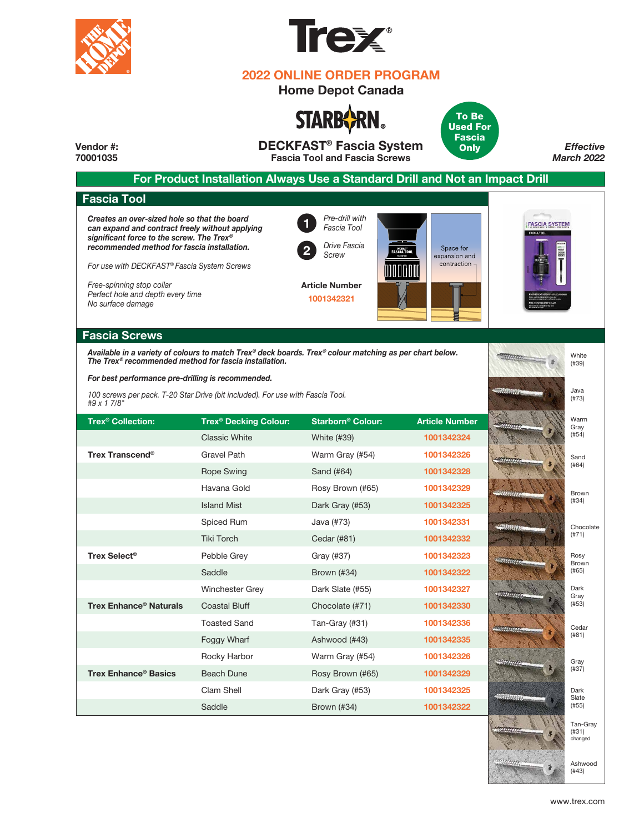



## **2022 ONLINE ORDER PROGRAM**

## **Home Depot Canada**





**DECKFAST® Fascia System Vendor #:**  *Effective* **Only 70001035 Fascia Tool and Fascia Screws** *March 2022* **For Product Installation Always Use a Standard Drill and Not an Impact Drill Fascia Tool** *Creates an over-sized hole so that the board*  **1** *Pre-drill with Fascia Tool*  **FASCIA SYSTEM** *can expand and contract freely without applying significant force to the screw. The Trex®* **2** *Drive Fascia recommended method for fascia installation.* Space for *DECATAST<sup>:</sup>*<br>FASC IA TOOI *Screw* expansion and *For use with DECKFAST® Fascia System Screws* contraction *Free-spinning stop collar* **Article Number** *Perfect hole and depth every time* **1001342321** *No surface damage* **Fascia Screws** *Available in a variety of colours to match Trex® deck boards. Trex® colour matching as per chart below.* **White** *The Trex® recommended method for fascia installation.* (#39) *For best performance pre-drilling is recommended.*  Java *100 screws per pack. T-20 Star Drive (bit included). For use with Fascia Tool.* (#73) *#9 x 1 7/8"*Warm **Trex® Decking Colour: Starborn® Trex Colour: Article Number ® Collection:** Gray (#54) Classic White White (#39) **1001342324** Gravel Path **Trex Transcend®** Warm Gray (#54) **1001342326** Sand (#64) Rope Swing Sand (#64) **1001342328** Havana Gold Rosy Brown (#65) **1001342329** Brown (#34) **1001342325** Island Mist Dark Gray (#53) Spiced Rum Java (#73) **1001342331** Chocolate (#71) Tiki Torch Cedar (#81) **1001342332 Trex Select®** Pebble Grey Gray (#37) **1001342323** Rosy Brown Saddle Brown (#34) **1001342322** (#65) Dark Winchester Grey Dark Slate (#55) **1001342327** Gray (#53) **Trex Enhance® Naturals** Coastal Bluff Chocolate (#71) **1001342330**

> Tan-Gray (#31) Ashwood (#43) Warm Gray (#54) Rosy Brown (#65) Dark Gray (#53) Brown (#34)

Toasted Sand Foggy Wharf Rocky Harbor Beach Dune Clam Shell Saddle

**Trex Enhance® Basics**

Tan-Gray (#31) changed

Ashwood (#43)

Cedar (#81)

Gray (#37) Dark Slate  $(#55)$